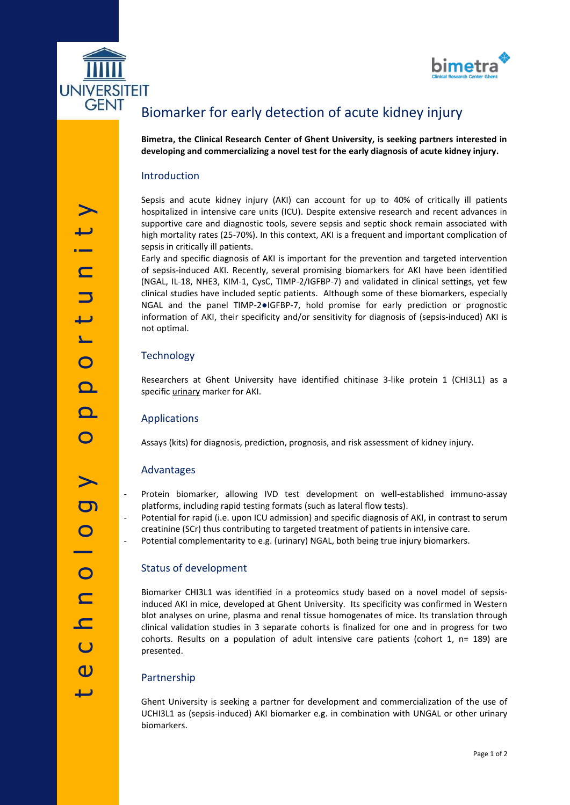



# Biomarker for early detection of acute kidney injury

**Bimetra, the Clinical Research Center of Ghent University, is seeking partners interested in developing and commercializing a novel test for the early diagnosis of acute kidney injury.**

#### Introduction

Sepsis and acute kidney injury (AKI) can account for up to 40% of critically ill patients hospitalized in intensive care units (ICU). Despite extensive research and recent advances in supportive care and diagnostic tools, severe sepsis and septic shock remain associated with high mortality rates (25-70%). In this context, AKI is a frequent and important complication of sepsis in critically ill patients.

Early and specific diagnosis of AKI is important for the prevention and targeted intervention of sepsis-induced AKI. Recently, several promising biomarkers for AKI have been identified (NGAL, IL-18, NHE3, KIM-1, CysC, TIMP-2/IGFBP-7) and validated in clinical settings, yet few clinical studies have included septic patients. Although some of these biomarkers, especially NGAL and the panel TIMP-2●IGFBP-7, hold promise for early prediction or prognostic information of AKI, their specificity and/or sensitivity for diagnosis of (sepsis-induced) AKI is not optimal.

### **Technology**

Researchers at Ghent University have identified chitinase 3-like protein 1 (CHI3L1) as a specific *urinary* marker for AKI.

#### Applications

Assays (kits) for diagnosis, prediction, prognosis, and risk assessment of kidney injury.

#### Advantages

- Protein biomarker, allowing IVD test development on well-established immuno-assay platforms, including rapid testing formats (such as lateral flow tests).
- Potential for rapid (i.e. upon ICU admission) and specific diagnosis of AKI, in contrast to serum creatinine (SCr) thus contributing to targeted treatment of patients in intensive care.
- Potential complementarity to e.g. (urinary) NGAL, both being true injury biomarkers.

#### Status of development

Biomarker CHI3L1 was identified in a proteomics study based on a novel model of sepsisinduced AKI in mice, developed at Ghent University. Its specificity was confirmed in Western blot analyses on urine, plasma and renal tissue homogenates of mice. Its translation through clinical validation studies in 3 separate cohorts is finalized for one and in progress for two cohorts. Results on a population of adult intensive care patients (cohort 1, n= 189) are presented.

#### Partnership

Ghent University is seeking a partner for development and commercialization of the use of UCHI3L1 as (sepsis-induced) AKI biomarker e.g. in combination with UNGAL or other urinary biomarkers.